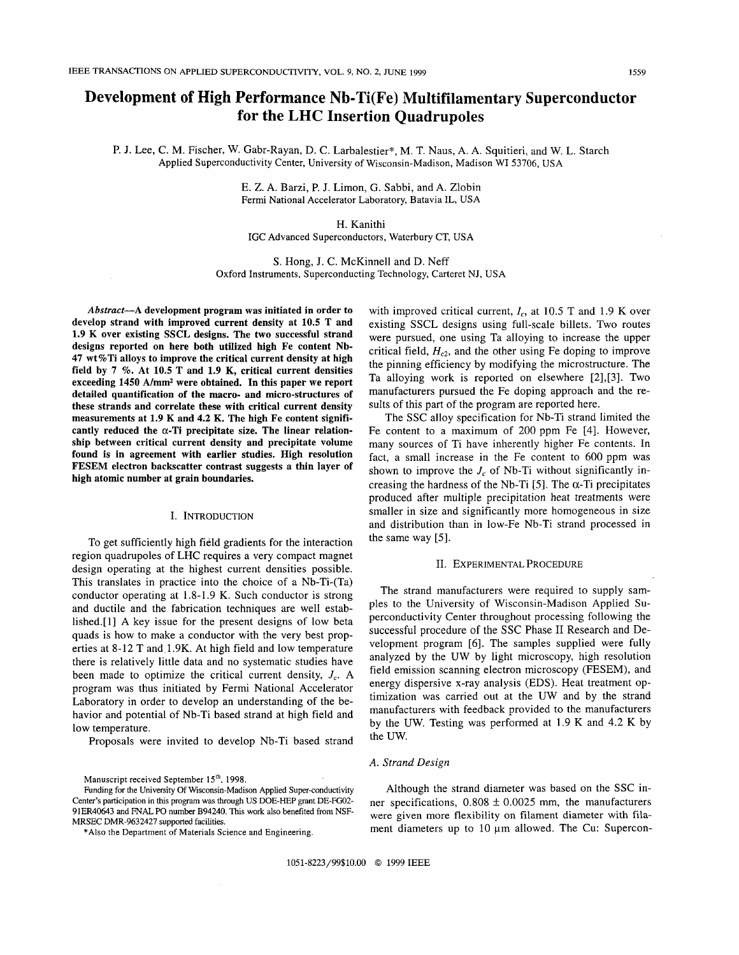# **Development of High Performance Nb-Ti(Fe) Multifilamentary Superconductor for the LHC Insertion Quadrupoles**

P. J. Lee, C. M. Fischer, W. Gabr-Rayan, D. C. Larbalestier\*, M. T. Naus, A. A. Squitieri, and W. L. Starch Applied Superconductivity Center, University of Wisconsin-Madison, Madison WI 53706, USA

> E. Z. A. Barzi, P. J. Limon, G. Sabbi, and A. Zlobin Fermi National Accelerator Laboratory, Batavia IL, USA

## H. Kanithi

IGC Advanced Superconductors, Waterbury CT, USA

S. Hong, J. C. McKinnell and D. Neff Oxford Instruments, Superconducting Technology, Carteret NJ, USA

**Abstract-A development program was initiated in order to develop strand with improved current density at 10.5 T and 1.9 K over existing SSCL designs. The two successful strand designs reported on here both utilized high Fe content Nb-47 wt%Ti alloys to improve the critical current density at high field by 7** %. **At 10.5 T and 1.9 K, critical current densities exceeding 1450 A/mm2 were obtained. In this paper we report detailed quantification of the macro- and micro-structures of these strands and correlate these with critical current density measurements at 1.9 K and 4.2 K. The high Fe content signifi**cantly reduced the  $\alpha$ -Ti precipitate size. The linear relation**ship between critical current density and precipitate volume found is in agreement with earlier studies. High resolution FESEM electron backscatter contrast suggests a thin layer of high atomic number at grain boundaries.** 

## I. INTRODUCTION

To get sufficiently high field gradients for the interaction region quadrupoles of LHC requires a very compact magnet design operating at the highest current densities possible. This translates in practice into the choice of a Nb-Ti-(Ta) conductor operating at 1.8-1.9 K. Such conductor is strong and ductile and the fabrication techniques are well established.[l] **A** key issue for the present designs of low beta quads is how to make a conductor with the very best properties at 8-12 T and.l.9K. At high field and low temperature there is relatively little data and no systematic studies have been made to optimize the critical current density,  $J_c$ . A program was thus initiated by Fermi National Accelerator Laboratory in order to develop an understanding of the behavior and potential of Nb-Ti based strand at high field and low temperature.

Proposals were invited to develop Nb-Ti based strand

with improved critical current,  $I_c$ , at 10.5 T and 1.9 K over existing SSCL designs using full-scale billets. Two routes were pursued, one using Ta alloying to increase the upper critical field,  $H<sub>c2</sub>$ , and the other using Fe doping to improve the pinning efficiency by modifying the microstructure. The Ta alloying work is reported on elsewhere [2],[3]. Two manufacturers pursued the Fe doping approach and the results of this part of the program are reported here.

The SSC alloy specification for Nb-Ti strand limited the Fe content to a maximum of 200 ppm Fe [4]. However, many sources of Ti have inherently higher Fe contents. In fact, a small increase in the Fe content to 600 ppm was shown to improve the  $J_c$  of Nb-Ti without significantly increasing the hardness of the Nb-Ti  $[5]$ . The  $\alpha$ -Ti precipitates produced after multiple precipitation heat treatments were smaller in size and significantly more homogeneous in size and distribution than in low-Fe Nb-Ti strand processed in the same way *[5].* 

#### 11. EXPERIMENTAL PROCEDURE

The strand manufacturers were required to supply samples to the University of Wisconsin-Madison Applied Superconductivity Center throughout processing following the successful procedure of the **SSC** Phase I1 Research and Development program **[6].** The samples supplied were fully analyzed by the UW by light microscopy, high resolution field emission scanning electron microscopy (FESEM), and energy dispersive x-ray analysis (EDS). Heat treatment optimization was carried out at the UW and by the strand manufacturers with feedback provided to the manufacturers by the UW. Testing was performed at 1.9 K and 4.2 K by the *UW.* 

#### *A. Strand Design*

Although the strand diameter was based on the SSC inner specifications,  $0.808 \pm 0.0025$  mm, the manufacturers were given more flexibility on filament diameter with filament diameters up to  $10 \mu m$  allowed. The Cu: Supercon-

Manuscript received September **15'h,** 1998.

Funding for the University Of Wisconsin-Madison Applied Super-conductivity Center's participation in this program was through US DOE-HEP grant DE-FO2- 91ER40643 and FNAL PO number B94240. This work also benefited from NSF-MRSEC DMR-9632427 supported facilities.

<sup>\*</sup>Also the Department of Materials Science and Engineering.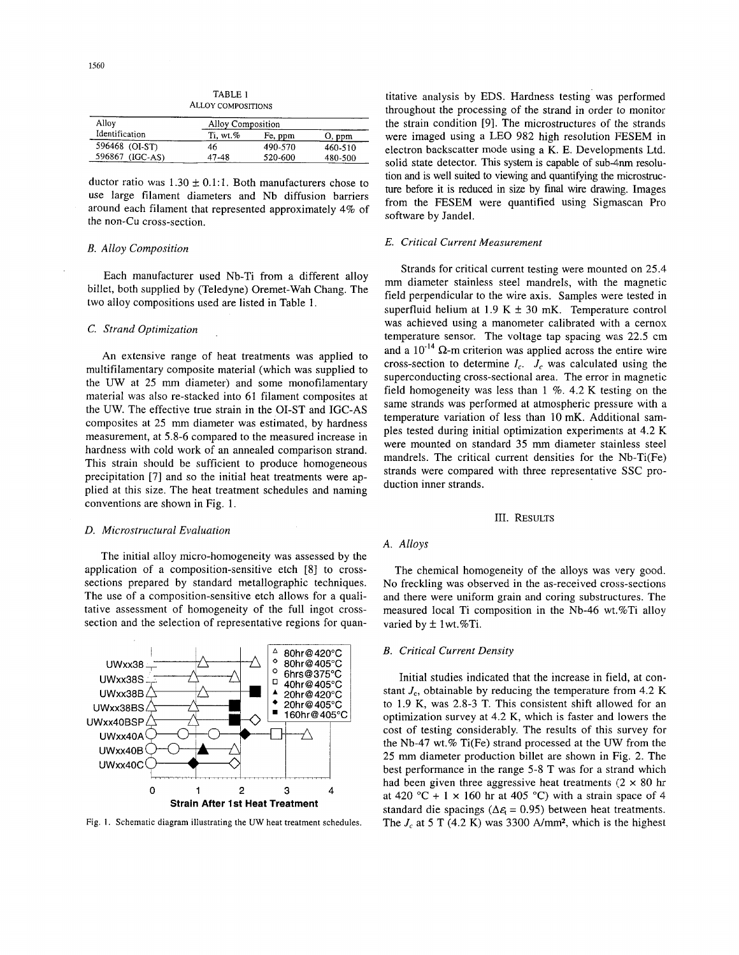| Alloy           | Alloy Composition |         |         |
|-----------------|-------------------|---------|---------|
| Identification  | Ti. wt. %         | Fe, ppm | O, ppm  |
| 596468 (OI-ST)  | 46                | 490-570 | 460-510 |
| 596867 (IGC-AS) | 47-48             | 520-600 | 480-500 |

TABLE 1 ALLOY COMPOSITIONS

ductor ratio was  $1.30 \pm 0.1$ :1. Both manufacturers chose to use large filament diameters and Nb diffusion barriers around each filament that represented approximately 4% of the non-Cu cross-section,

#### *B. Alloy Composition*

Each manufacturer used Nb-Ti from a different alloy billet, both supplied by (Teledyne) Oremet-Wah Chang. The two alloy compositions used are listed in Table 1.

## *C. Strand Optimization*

An extensive range of heat treatments was applied to multifilamentary composite material (which was supplied to the UW at 25 mm diameter) and some monofilamentary material was also re-stacked into 61 filament composites at the UW. The effective true strain in the 01-ST and IGC-AS composites at 25 mm diameter was estimated, by hardness measurement, at 5.8-6 compared to the measured increase in hardness with cold work of an annealed comparison strand. This strain should be sufficient to produce homogeneous precipitation [7] and so the initial heat treatments were applied at this size. The heat treatment schedules and naming conventions are shown in Fig. 1.

## *D. Microstructural Evaluation*

The initial alloy micro-homogeneity was assessed by the application of a composition-sensitive etch [8] to crosssections prepared by standard metallographic techniques. The use of a composition-sensitive etch allows for a qualitative assessment of homogeneity of the full ingot crosssection and the selection of representative regions for quan-



Fig. **1.** Schematic diagram illustrating the UW heat treatment schedules.

titative analysis by EDS. Hardness testing was performed throughout the processing of the strand in order to monitor the strain condition [9]. The microstructures of the strands were imaged using a LEO 982 high resolution FESEM in electron backscatter mode using a K. E. Developments Ltd. solid state detector. This system is capable of sub-4nm resolution and is well suited to viewing and quantifying the microstmcture before it is reduced in size by final wire drawing. Images from the FESEM were quantified using Sigmascan Pro software by Jandel.

## *E. Critical Current Measurement*

Strands for critical current testing were mounted on 25.4 mm diameter stainless steel mandrels, with the magnetic field perpendicular to the wire axis. Samples were tested in superfluid helium at 1.9 K  $\pm$  30 mK. Temperature control was achieved using a manometer calibrated with a cernox temperature sensor. The voltage tap spacing was 22.5 cm and a  $10^{-14}$   $\Omega$ -m criterion was applied across the entire wire cross-section to determine  $I_c$ .  $J_c$  was calculated using the superconducting cross-sectional area. The error in magnetic field homogeneity was less than  $1 \%$ . 4.2 K testing on the same strands was performed at atmospheric pressure with a temperature variation of less than IO mK. Additional samples tested during initial optimization experiments at 4.2 **E;**  were mounted on standard 35 mm diameter stainless steel mandrels. The critical current densities for the Nb-Ti(Fe) strands were compared with three representative SSC production inner strands.

#### 111. RESULTS

## *A. Alloys*

The chemical homogeneity of the alloys was very good. No freckling was observed in the as-received cross-section:; and there were uniform grain and coring substructures. The measured local Ti composition in the Nb-46 wt.%Ti alloy varied by  $\pm$  1 wt.%Ti.

## *B. Critical Current Density*

Initial studies indicated that the increase in field, at constant  $J_c$ , obtainable by reducing the temperature from 4.2 K to 1.9 K, was 2.8-3 T. This consistent shift allowed for an optimization survey at 4.2 K, which is faster and lowers the cost of testing considerably. The results of this survey for the Nb-47 wt.% Ti(Fe) strand processed at the WV from the 25 mm diameter production billet are shown in Fig. 2. The best performance in the range 5-8 T was for a strand which had been given three aggressive heat treatments  $(2 \times 80$  hr at 420 °C + 1  $\times$  160 hr at 405 °C) with a strain space of 4 standard die spacings ( $\Delta \varepsilon$ <sub>c</sub> = 0.95) between heat treatments. The  $J_c$  at 5 T (4.2 K) was 3300 A/mm<sup>2</sup>, which is the highest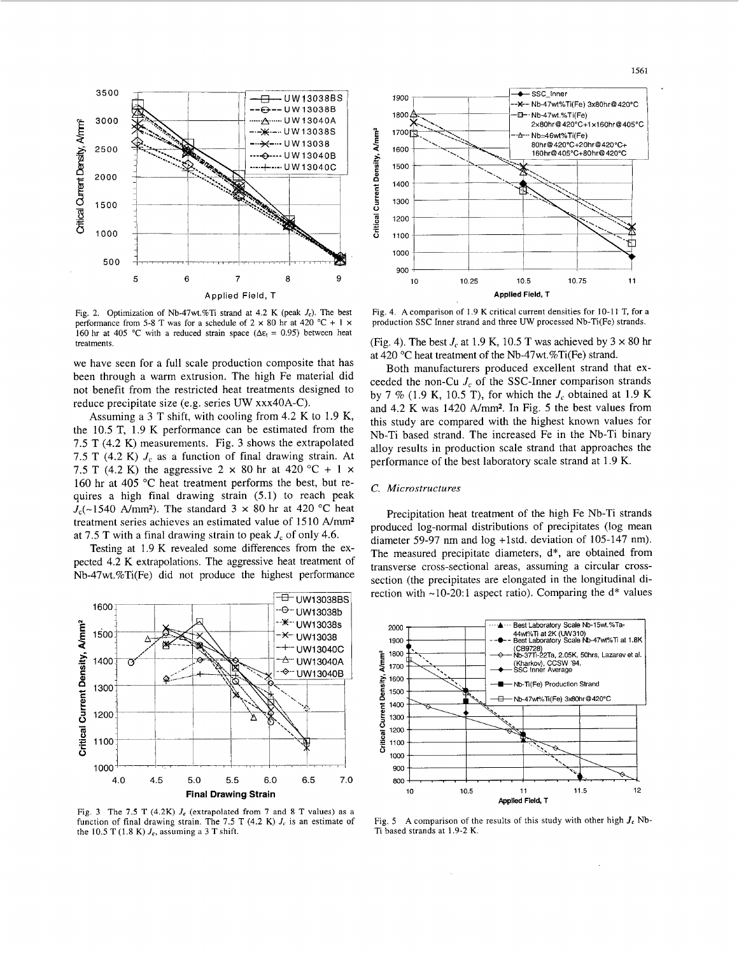

Fig. 2. Optimization of Nb-47wt.%Ti strand at 4.2 K (peak *Jc).* The best performance from 5-8 T was for a schedule of  $2 \times 80$  hr at 420 °C + 1  $\times$ 160 hr at 405 °C with a reduced strain space  $(\Delta \varepsilon_t = 0.95)$  between heat treatments.

we have seen for a full scale production composite that has been through a warm extrusion. The high Fe material did not benefit from the restricted heat treatments designed to reduce precipitate size (e.g. series UW xxx4OA-C).

Assuming a 3 T shift, with cooling from 4.2 K to 1.9 K, the 10.5 T, 1.9 K performance can be estimated from the 7.5 T (4.2 K) measurements. Fig. 3 shows the extrapolated 7.5 T (4.2 K)  $J_c$  as a function of final drawing strain. At 7.5 T (4.2 K) the aggressive 2  $\times$  80 hr at 420 °C + 1  $\times$ 160 hr at 405 "C heat treatment performs the best, but requires a high final drawing strain (5.1) to reach peak  $J_c$ (~1540 A/mm<sup>2</sup>). The standard 3  $\times$  80 hr at 420 °C heat treatment series achieves an estimated value of 1510 A/mm<sup>2</sup> at 7.5 T with a final drawing strain to peak *J,* of only 4.6.

Testing at 1.9 K revealed some differences from the expected 4.2 K extrapolations. The aggressive heat treatment of Nb47wt.%Ti(Fe) did not produce the highest performance



Fig. 3 The 7.5 T (4.2K)  $J_c$  (extrapolated from 7 and 8 T values) as a function of final drawing strain. The 7.5 T (4.2 K)  $J_c$  is an estimate of the 10.5 T (1.8 K)  $J_c$ , assuming a 3 T shift.



Fig. 4. A comparison of 1.9 K critical current densities for 10-11 T, for a production SSC Inner strand and three UW processed Nb-Ti(Fe) strands.

(Fig. 4). The best  $J_c$  at 1.9 K, 10.5 T was achieved by  $3 \times 80$  hr at 420 "C heat treatment of the Nb-47wt.%Ti(Fe) strand.

Both manufacturers produced excellent strand that exceeded the non-Cu *J,* of the SSC-Inner comparison strands by 7 % (1.9 K, 10.5 T), for which the *J,* obtained at 1.9 K and 4.2 K was 1420 A/mm2. In Fig. *5* the best values from this study are compared with the highest known values for Nb-Ti based strand. The increased Fe in the Nb-Ti binary alloy results in production scale strand that approaches the performance of the best laboratory scale strand at 1.9 K.

## *C. Microstructures*

Precipitation heat treatment of the high Fe Nb-Ti strands produced log-normal distributions of precipitates (log mean diameter 59-97 nm and log +1std. deviation of 105-147 nm). The measured precipitate diameters, d\*, are obtained from transverse cross-sectional areas, assuming a circular crosssection (the precipitates are elongated in the longitudinal direction with  $~10-20$ :1 aspect ratio). Comparing the  $d^*$  values



Fig. 5 A comparison of the results of this study with other high  $J_c$  Nb-Ti based strands at 1.9-2 K.